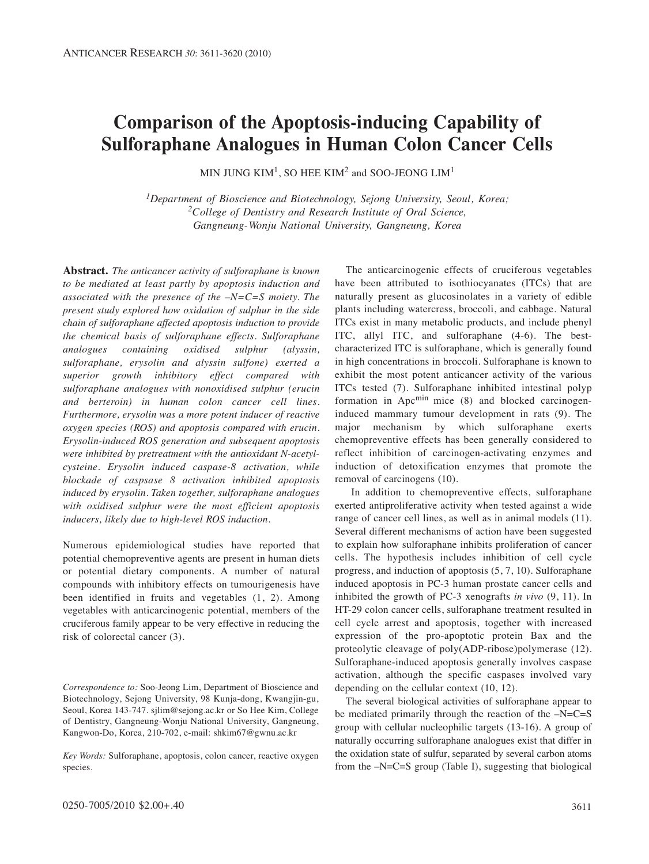# **Comparison of the Apoptosis-inducing Capability of Sulforaphane Analogues in Human Colon Cancer Cells**

MIN JUNG  $KM^1$ , SO HEE  $KM^2$  and SOO-JEONG  $LM^1$ 

*1Department of Bioscience and Biotechnology, Sejong University, Seoul, Korea; 2College of Dentistry and Research Institute of Oral Science, Gangneung-Wonju National University, Gangneung, Korea*

**Abstract.** *The anticancer activity of sulforaphane is known to be mediated at least partly by apoptosis induction and associated with the presence of the –N=C=S moiety. The present study explored how oxidation of sulphur in the side chain of sulforaphane affected apoptosis induction to provide the chemical basis of sulforaphane effects. Sulforaphane analogues containing oxidised sulphur (alyssin, sulforaphane, erysolin and alyssin sulfone) exerted a superior growth inhibitory effect compared with sulforaphane analogues with nonoxidised sulphur (erucin and berteroin) in human colon cancer cell lines. Furthermore, erysolin was a more potent inducer of reactive oxygen species (ROS) and apoptosis compared with erucin. Erysolin-induced ROS generation and subsequent apoptosis were inhibited by pretreatment with the antioxidant N-acetylcysteine. Erysolin induced caspase-8 activation, while blockade of caspsase 8 activation inhibited apoptosis induced by erysolin. Taken together, sulforaphane analogues with oxidised sulphur were the most efficient apoptosis inducers, likely due to high-level ROS induction.* 

Numerous epidemiological studies have reported that potential chemopreventive agents are present in human diets or potential dietary components. A number of natural compounds with inhibitory effects on tumourigenesis have been identified in fruits and vegetables (1, 2). Among vegetables with anticarcinogenic potential, members of the cruciferous family appear to be very effective in reducing the risk of colorectal cancer (3).

*Correspondence to:* Soo-Jeong Lim, Department of Bioscience and Biotechnology, Sejong University, 98 Kunja-dong, Kwangjin-gu, Seoul, Korea 143-747. sjlim@sejong.ac.kr or So Hee Kim, College of Dentistry, Gangneung-Wonju National University, Gangneung, Kangwon-Do, Korea, 210-702, e-mail: shkim67@gwnu.ac.kr

*Key Words:* Sulforaphane, apoptosis, colon cancer, reactive oxygen species.

The anticarcinogenic effects of cruciferous vegetables have been attributed to isothiocyanates (ITCs) that are naturally present as glucosinolates in a variety of edible plants including watercress, broccoli, and cabbage. Natural ITCs exist in many metabolic products, and include phenyl ITC, allyl ITC, and sulforaphane (4-6). The bestcharacterized ITC is sulforaphane, which is generally found in high concentrations in broccoli. Sulforaphane is known to exhibit the most potent anticancer activity of the various ITCs tested (7). Sulforaphane inhibited intestinal polyp formation in  $Apc<sup>min</sup>$  mice (8) and blocked carcinogeninduced mammary tumour development in rats (9). The major mechanism by which sulforaphane exerts chemopreventive effects has been generally considered to reflect inhibition of carcinogen-activating enzymes and induction of detoxification enzymes that promote the removal of carcinogens (10).

In addition to chemopreventive effects, sulforaphane exerted antiproliferative activity when tested against a wide range of cancer cell lines, as well as in animal models (11). Several different mechanisms of action have been suggested to explain how sulforaphane inhibits proliferation of cancer cells. The hypothesis includes inhibition of cell cycle progress, and induction of apoptosis (5, 7, 10). Sulforaphane induced apoptosis in PC-3 human prostate cancer cells and inhibited the growth of PC-3 xenografts *in vivo* (9, 11). In HT-29 colon cancer cells, sulforaphane treatment resulted in cell cycle arrest and apoptosis, together with increased expression of the pro-apoptotic protein Bax and the proteolytic cleavage of poly(ADP-ribose)polymerase (12). Sulforaphane-induced apoptosis generally involves caspase activation, although the specific caspases involved vary depending on the cellular context (10, 12).

The several biological activities of sulforaphane appear to be mediated primarily through the reaction of the  $-N=C=S$ group with cellular nucleophilic targets (13-16). A group of naturally occurring sulforaphane analogues exist that differ in the oxidation state of sulfur, separated by several carbon atoms from the –N=C=S group (Table I), suggesting that biological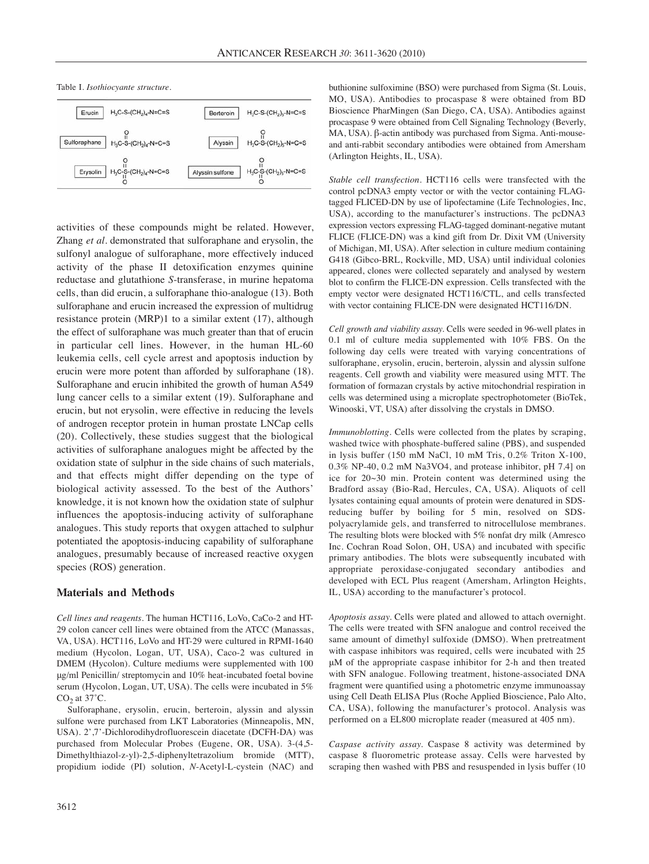

activities of these compounds might be related. However, Zhang *et al.* demonstrated that sulforaphane and erysolin, the sulfonyl analogue of sulforaphane, more effectively induced activity of the phase II detoxification enzymes quinine reductase and glutathione *S*-transferase, in murine hepatoma cells, than did erucin, a sulforaphane thio-analogue (13). Both sulforaphane and erucin increased the expression of multidrug resistance protein (MRP)1 to a similar extent (17), although the effect of sulforaphane was much greater than that of erucin in particular cell lines. However, in the human HL-60 leukemia cells, cell cycle arrest and apoptosis induction by erucin were more potent than afforded by sulforaphane (18). Sulforaphane and erucin inhibited the growth of human A549 lung cancer cells to a similar extent (19). Sulforaphane and erucin, but not erysolin, were effective in reducing the levels of androgen receptor protein in human prostate LNCap cells (20). Collectively, these studies suggest that the biological activities of sulforaphane analogues might be affected by the oxidation state of sulphur in the side chains of such materials, and that effects might differ depending on the type of biological activity assessed. To the best of the Authors' knowledge, it is not known how the oxidation state of sulphur influences the apoptosis-inducing activity of sulforaphane analogues. This study reports that oxygen attached to sulphur potentiated the apoptosis-inducing capability of sulforaphane analogues, presumably because of increased reactive oxygen species (ROS) generation.

## **Materials and Methods**

*Cell lines and reagents.* The human HCT116, LoVo, CaCo-2 and HT-29 colon cancer cell lines were obtained from the ATCC (Manassas, VA, USA). HCT116, LoVo and HT-29 were cultured in RPMI-1640 medium (Hycolon, Logan, UT, USA), Caco-2 was cultured in DMEM (Hycolon). Culture mediums were supplemented with 100 μg/ml Penicillin/ streptomycin and 10% heat-incubated foetal bovine serum (Hycolon, Logan, UT, USA). The cells were incubated in 5%  $CO<sub>2</sub>$  at 37 $°C$ .

Sulforaphane, erysolin, erucin, berteroin, alyssin and alyssin sulfone were purchased from LKT Laboratories (Minneapolis, MN, USA). 2',7'-Dichlorodihydrofluorescein diacetate (DCFH-DA) was purchased from Molecular Probes (Eugene, OR, USA). 3-(4,5- Dimethylthiazol-z-yl)-2,5-diphenyltetrazolium bromide (MTT), propidium iodide (PI) solution, *N*-Acetyl-L-cystein (NAC) and

buthionine sulfoximine (BSO) were purchased from Sigma (St. Louis, MO, USA). Antibodies to procaspase 8 were obtained from BD Bioscience PharMingen (San Diego, CA, USA). Antibodies against procaspase 9 were obtained from Cell Signaling Technology (Beverly, MA, USA). β-actin antibody was purchased from Sigma. Anti-mouseand anti-rabbit secondary antibodies were obtained from Amersham (Arlington Heights, IL, USA).

*Stable cell transfection.* HCT116 cells were transfected with the control pcDNA3 empty vector or with the vector containing FLAGtagged FLICED-DN by use of lipofectamine (Life Technologies, Inc, USA), according to the manufacturer's instructions. The pcDNA3 expression vectors expressing FLAG-tagged dominant-negative mutant FLICE (FLICE-DN) was a kind gift from Dr. Dixit VM (University of Michigan, MI, USA). After selection in culture medium containing G418 (Gibco-BRL, Rockville, MD, USA) until individual colonies appeared, clones were collected separately and analysed by western blot to confirm the FLICE-DN expression. Cells transfected with the empty vector were designated HCT116/CTL, and cells transfected with vector containing FLICE-DN were designated HCT116/DN.

*Cell growth and viability assay.* Cells were seeded in 96-well plates in 0.1 ml of culture media supplemented with 10% FBS. On the following day cells were treated with varying concentrations of sulforaphane, erysolin, erucin, berteroin, alyssin and alyssin sulfone reagents. Cell growth and viability were measured using MTT. The formation of formazan crystals by active mitochondrial respiration in cells was determined using a microplate spectrophotometer (BioTek, Winooski, VT, USA) after dissolving the crystals in DMSO.

*Immunoblotting.* Cells were collected from the plates by scraping, washed twice with phosphate-buffered saline (PBS), and suspended in lysis buffer (150 mM NaCl, 10 mM Tris, 0.2% Triton X-100, 0.3% NP-40, 0.2 mM Na3VO4, and protease inhibitor, pH 7.4] on ice for 20~30 min. Protein content was determined using the Bradford assay (Bio-Rad, Hercules, CA, USA). Aliquots of cell lysates containing equal amounts of protein were denatured in SDSreducing buffer by boiling for 5 min, resolved on SDSpolyacrylamide gels, and transferred to nitrocellulose membranes. The resulting blots were blocked with 5% nonfat dry milk (Amresco Inc. Cochran Road Solon, OH, USA) and incubated with specific primary antibodies. The blots were subsequently incubated with appropriate peroxidase-conjugated secondary antibodies and developed with ECL Plus reagent (Amersham, Arlington Heights, IL, USA) according to the manufacturer's protocol.

*Apoptosis assay.* Cells were plated and allowed to attach overnight. The cells were treated with SFN analogue and control received the same amount of dimethyl sulfoxide (DMSO). When pretreatment with caspase inhibitors was required, cells were incubated with 25 μM of the appropriate caspase inhibitor for 2-h and then treated with SFN analogue. Following treatment, histone-associated DNA fragment were quantified using a photometric enzyme immunoassay using Cell Death ELISA Plus (Roche Applied Bioscience, Palo Alto, CA, USA), following the manufacturer's protocol. Analysis was performed on a EL800 microplate reader (measured at 405 nm).

*Caspase activity assay.* Caspase 8 activity was determined by caspase 8 fluorometric protease assay. Cells were harvested by scraping then washed with PBS and resuspended in lysis buffer (10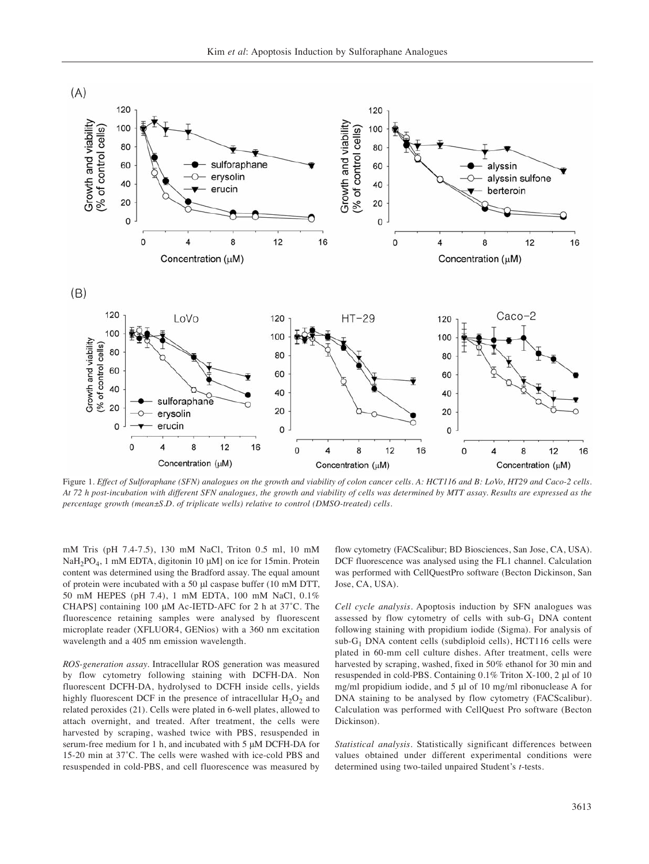

Figure 1. *Effect of Sulforaphane (SFN) analogues on the growth and viability of colon cancer cells. A: HCT116 and B: LoVo, HT29 and Caco-2 cells. At 72 h post-incubation with different SFN analogues, the growth and viability of cells was determined by MTT assay. Results are expressed as the percentage growth (mean±S.D. of triplicate wells) relative to control (DMSO-treated) cells.*

mM Tris (pH 7.4-7.5), 130 mM NaCl, Triton 0.5 ml, 10 mM NaH<sub>2</sub>PO<sub>4</sub>, 1 mM EDTA, digitonin 10  $\mu$ M] on ice for 15min. Protein content was determined using the Bradford assay. The equal amount of protein were incubated with a 50 μl caspase buffer (10 mM DTT, 50 mM HEPES (pH 7.4), 1 mM EDTA, 100 mM NaCl, 0.1% CHAPS] containing 100 μM Ac-IETD-AFC for 2 h at 37˚C. The fluorescence retaining samples were analysed by fluorescent microplate reader (XFLUOR4, GENios) with a 360 nm excitation wavelength and a 405 nm emission wavelength.

*ROS-generation assay.* Intracellular ROS generation was measured by flow cytometry following staining with DCFH-DA. Non fluorescent DCFH-DA, hydrolysed to DCFH inside cells, yields highly fluorescent DCF in the presence of intracellular  $H_2O_2$  and related peroxides (21). Cells were plated in 6-well plates, allowed to attach overnight, and treated. After treatment, the cells were harvested by scraping, washed twice with PBS, resuspended in serum-free medium for 1 h, and incubated with 5 μM DCFH-DA for 15-20 min at 37˚C. The cells were washed with ice-cold PBS and resuspended in cold-PBS, and cell fluorescence was measured by flow cytometry (FACScalibur; BD Biosciences, San Jose, CA, USA). DCF fluorescence was analysed using the FL1 channel. Calculation was performed with CellQuestPro software (Becton Dickinson, San Jose, CA, USA).

*Cell cycle analysis*. Apoptosis induction by SFN analogues was assessed by flow cytometry of cells with  $sub-G<sub>1</sub>$  DNA content following staining with propidium iodide (Sigma). For analysis of  $sub-G<sub>1</sub>$  DNA content cells (subdiploid cells), HCT116 cells were plated in 60-mm cell culture dishes. After treatment, cells were harvested by scraping, washed, fixed in 50% ethanol for 30 min and resuspended in cold-PBS. Containing 0.1% Triton X-100, 2 μl of 10 mg/ml propidium iodide, and 5 μl of 10 mg/ml ribonuclease A for DNA staining to be analysed by flow cytometry (FACScalibur). Calculation was performed with CellQuest Pro software (Becton Dickinson).

*Statistical analysis.* Statistically significant differences between values obtained under different experimental conditions were determined using two-tailed unpaired Student's *t*-tests.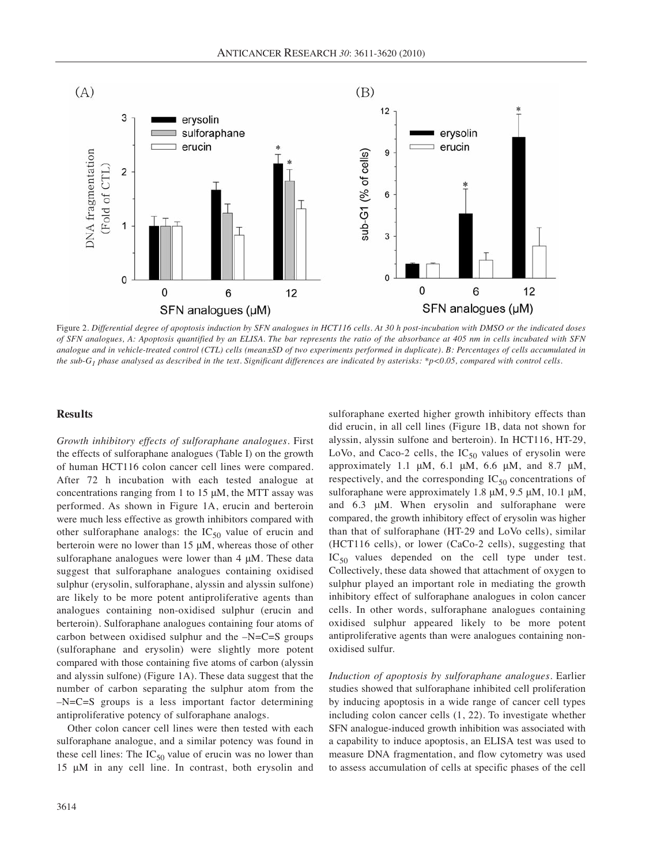

Figure 2. *Differential degree of apoptosis induction by SFN analogues in HCT116 cells. At 30 h post-incubation with DMSO or the indicated doses of SFN analogues, A: Apoptosis quantified by an ELISA. The bar represents the ratio of the absorbance at 405 nm in cells incubated with SFN analogue and in vehicle-treated control (CTL) cells (mean±SD of two experiments performed in duplicate). B: Percentages of cells accumulated in the sub-G1 phase analysed as described in the text. Significant differences are indicated by asterisks: \*p<0.05, compared with control cells.* 

#### **Results**

*Growth inhibitory effects of sulforaphane analogues.* First the effects of sulforaphane analogues (Table I) on the growth of human HCT116 colon cancer cell lines were compared. After 72 h incubation with each tested analogue at concentrations ranging from 1 to 15 μM, the MTT assay was performed. As shown in Figure 1A, erucin and berteroin were much less effective as growth inhibitors compared with other sulforaphane analogs: the  $IC_{50}$  value of erucin and berteroin were no lower than 15 μM, whereas those of other sulforaphane analogues were lower than 4 μM. These data suggest that sulforaphane analogues containing oxidised sulphur (erysolin, sulforaphane, alyssin and alyssin sulfone) are likely to be more potent antiproliferative agents than analogues containing non-oxidised sulphur (erucin and berteroin). Sulforaphane analogues containing four atoms of carbon between oxidised sulphur and the –N=C=S groups (sulforaphane and erysolin) were slightly more potent compared with those containing five atoms of carbon (alyssin and alyssin sulfone) (Figure 1A). These data suggest that the number of carbon separating the sulphur atom from the –N=C=S groups is a less important factor determining antiproliferative potency of sulforaphane analogs.

Other colon cancer cell lines were then tested with each sulforaphane analogue, and a similar potency was found in these cell lines: The  $IC_{50}$  value of erucin was no lower than 15 μM in any cell line. In contrast, both erysolin and sulforaphane exerted higher growth inhibitory effects than did erucin, in all cell lines (Figure 1B, data not shown for alyssin, alyssin sulfone and berteroin). In HCT116, HT-29, LoVo, and Caco-2 cells, the  $IC_{50}$  values of erysolin were approximately 1.1  $\mu$ M, 6.1  $\mu$ M, 6.6  $\mu$ M, and 8.7  $\mu$ M, respectively, and the corresponding  $IC_{50}$  concentrations of sulforaphane were approximately 1.8 μM, 9.5 μM, 10.1 μM, and 6.3 μM. When erysolin and sulforaphane were compared, the growth inhibitory effect of erysolin was higher than that of sulforaphane (HT-29 and LoVo cells), similar (HCT116 cells), or lower (CaCo-2 cells), suggesting that  $IC_{50}$  values depended on the cell type under test. Collectively, these data showed that attachment of oxygen to sulphur played an important role in mediating the growth inhibitory effect of sulforaphane analogues in colon cancer cells. In other words, sulforaphane analogues containing oxidised sulphur appeared likely to be more potent antiproliferative agents than were analogues containing nonoxidised sulfur.

*Induction of apoptosis by sulforaphane analogues.* Earlier studies showed that sulforaphane inhibited cell proliferation by inducing apoptosis in a wide range of cancer cell types including colon cancer cells (1, 22). To investigate whether SFN analogue-induced growth inhibition was associated with a capability to induce apoptosis, an ELISA test was used to measure DNA fragmentation, and flow cytometry was used to assess accumulation of cells at specific phases of the cell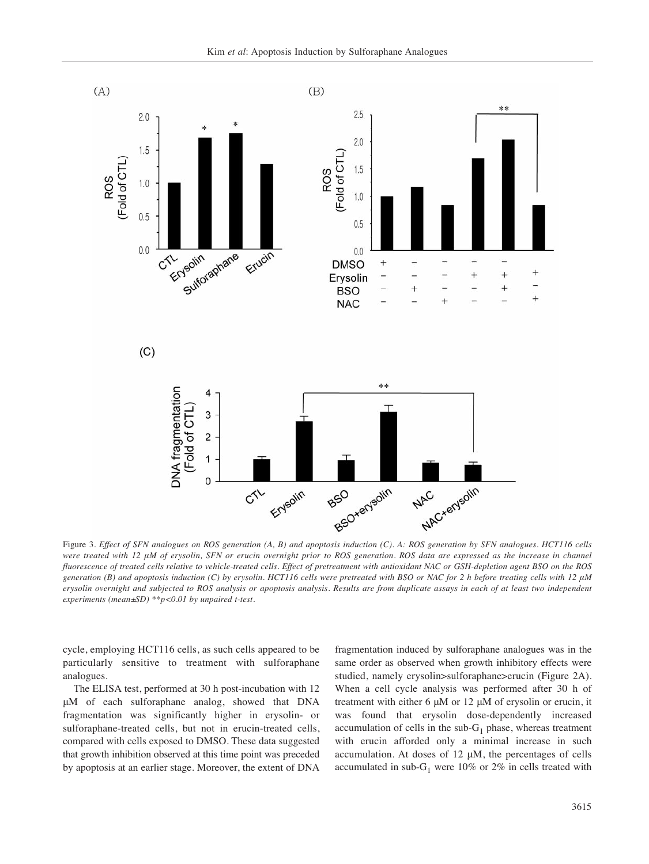

Figure 3. *Effect of SFN analogues on ROS generation (A, B) and apoptosis induction (C). A: ROS generation by SFN analogues. HCT116 cells were treated with 12 μM of erysolin, SFN or erucin overnight prior to ROS generation. ROS data are expressed as the increase in channel fluorescence of treated cells relative to vehicle-treated cells. Effect of pretreatment with antioxidant NAC or GSH-depletion agent BSO on the ROS generation (B) and apoptosis induction (C) by erysolin. HCT116 cells were pretreated with BSO or NAC for 2 h before treating cells with 12 μM erysolin overnight and subjected to ROS analysis or apoptosis analysis. Results are from duplicate assays in each of at least two independent experiments (mean±SD) \*\*p<0.01 by unpaired t-test.*

cycle, employing HCT116 cells, as such cells appeared to be particularly sensitive to treatment with sulforaphane analogues.

The ELISA test, performed at 30 h post-incubation with 12 μM of each sulforaphane analog, showed that DNA fragmentation was significantly higher in erysolin- or sulforaphane-treated cells, but not in erucin-treated cells, compared with cells exposed to DMSO. These data suggested that growth inhibition observed at this time point was preceded by apoptosis at an earlier stage. Moreover, the extent of DNA fragmentation induced by sulforaphane analogues was in the same order as observed when growth inhibitory effects were studied, namely erysolin>sulforaphane>erucin (Figure 2A). When a cell cycle analysis was performed after 30 h of treatment with either 6 μM or 12 μM of erysolin or erucin, it was found that erysolin dose-dependently increased accumulation of cells in the sub- $G_1$  phase, whereas treatment with erucin afforded only a minimal increase in such accumulation. At doses of 12 μM, the percentages of cells accumulated in sub- $G_1$  were 10% or 2% in cells treated with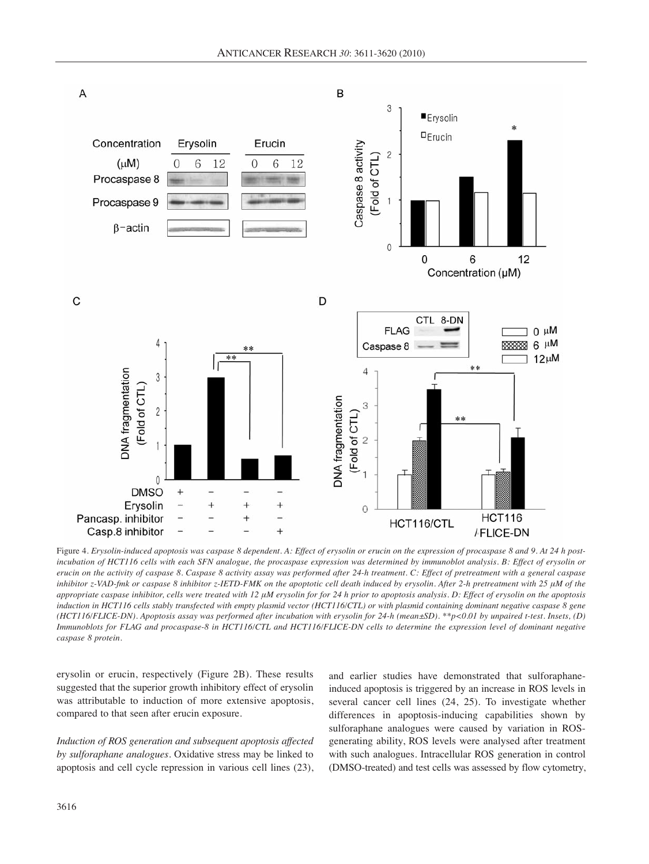

Figure 4. *Erysolin-induced apoptosis was caspase 8 dependent. A: Effect of erysolin or erucin on the expression of procaspase 8 and 9. At 24 h postincubation of HCT116 cells with each SFN analogue, the procaspase expression was determined by immunoblot analysis. B: Effect of erysolin or erucin on the activity of caspase 8. Caspase 8 activity assay was performed after 24-h treatment. C: Effect of pretreatment with a general caspase inhibitor z-VAD-fmk or caspase 8 inhibitor z-IETD-FMK on the apoptotic cell death induced by erysolin. After 2-h pretreatment with 25 μM of the appropriate caspase inhibitor, cells were treated with 12 μM erysolin for for 24 h prior to apoptosis analysis. D: Effect of erysolin on the apoptosis induction in HCT116 cells stably transfected with empty plasmid vector (HCT116/CTL) or with plasmid containing dominant negative caspase 8 gene (HCT116/FLICE-DN). Apoptosis assay was performed after incubation with erysolin for 24-h (mean±SD). \*\*p<0.01 by unpaired t-test. Insets, (D) Immunoblots for FLAG and procaspase-8 in HCT116/CTL and HCT116/FLICE-DN cells to determine the expression level of dominant negative caspase 8 protein.* 

erysolin or erucin, respectively (Figure 2B). These results suggested that the superior growth inhibitory effect of erysolin was attributable to induction of more extensive apoptosis, compared to that seen after erucin exposure.

*Induction of ROS generation and subsequent apoptosis affected by sulforaphane analogues*. Oxidative stress may be linked to apoptosis and cell cycle repression in various cell lines (23), and earlier studies have demonstrated that sulforaphaneinduced apoptosis is triggered by an increase in ROS levels in several cancer cell lines (24, 25). To investigate whether differences in apoptosis-inducing capabilities shown by sulforaphane analogues were caused by variation in ROSgenerating ability, ROS levels were analysed after treatment with such analogues. Intracellular ROS generation in control (DMSO-treated) and test cells was assessed by flow cytometry,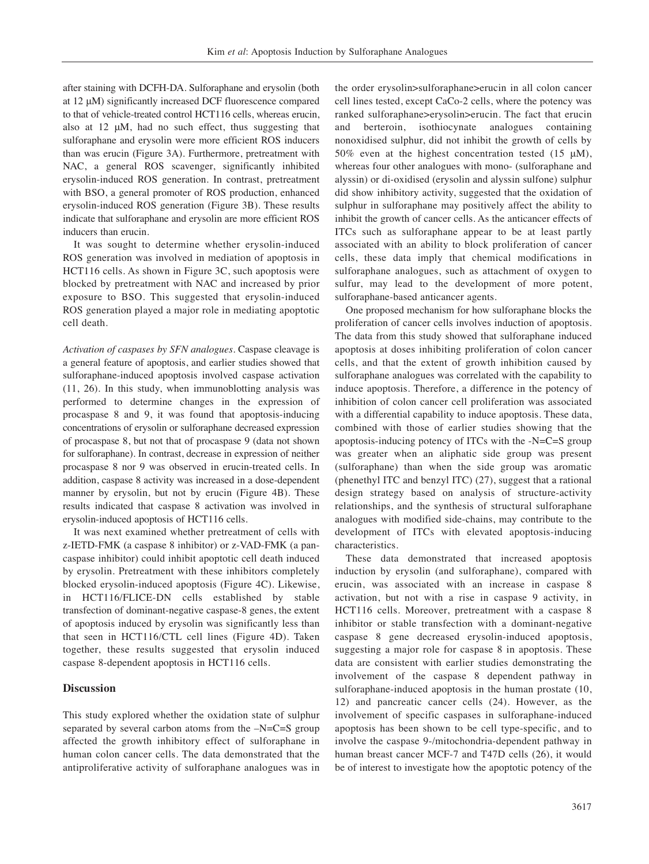after staining with DCFH-DA. Sulforaphane and erysolin (both at 12 μM) significantly increased DCF fluorescence compared to that of vehicle-treated control HCT116 cells, whereas erucin, also at 12 μM, had no such effect, thus suggesting that sulforaphane and erysolin were more efficient ROS inducers than was erucin (Figure 3A). Furthermore, pretreatment with NAC, a general ROS scavenger, significantly inhibited erysolin-induced ROS generation. In contrast, pretreatment with BSO, a general promoter of ROS production, enhanced erysolin-induced ROS generation (Figure 3B). These results indicate that sulforaphane and erysolin are more efficient ROS inducers than erucin.

It was sought to determine whether erysolin-induced ROS generation was involved in mediation of apoptosis in HCT116 cells. As shown in Figure 3C, such apoptosis were blocked by pretreatment with NAC and increased by prior exposure to BSO. This suggested that erysolin-induced ROS generation played a major role in mediating apoptotic cell death.

*Activation of caspases by SFN analogues.* Caspase cleavage is a general feature of apoptosis, and earlier studies showed that sulforaphane-induced apoptosis involved caspase activation (11, 26). In this study, when immunoblotting analysis was performed to determine changes in the expression of procaspase 8 and 9, it was found that apoptosis-inducing concentrations of erysolin or sulforaphane decreased expression of procaspase 8, but not that of procaspase 9 (data not shown for sulforaphane). In contrast, decrease in expression of neither procaspase 8 nor 9 was observed in erucin-treated cells. In addition, caspase 8 activity was increased in a dose-dependent manner by erysolin, but not by erucin (Figure 4B). These results indicated that caspase 8 activation was involved in erysolin-induced apoptosis of HCT116 cells.

It was next examined whether pretreatment of cells with z-IETD-FMK (a caspase 8 inhibitor) or z-VAD-FMK (a pancaspase inhibitor) could inhibit apoptotic cell death induced by erysolin. Pretreatment with these inhibitors completely blocked erysolin-induced apoptosis (Figure 4C). Likewise, in HCT116/FLICE-DN cells established by stable transfection of dominant-negative caspase-8 genes, the extent of apoptosis induced by erysolin was significantly less than that seen in HCT116/CTL cell lines (Figure 4D). Taken together, these results suggested that erysolin induced caspase 8-dependent apoptosis in HCT116 cells.

## **Discussion**

This study explored whether the oxidation state of sulphur separated by several carbon atoms from the –N=C=S group affected the growth inhibitory effect of sulforaphane in human colon cancer cells. The data demonstrated that the antiproliferative activity of sulforaphane analogues was in

the order erysolin>sulforaphane>erucin in all colon cancer cell lines tested, except CaCo-2 cells, where the potency was ranked sulforaphane>erysolin>erucin. The fact that erucin and berteroin, isothiocynate analogues containing nonoxidised sulphur, did not inhibit the growth of cells by 50% even at the highest concentration tested (15 μM), whereas four other analogues with mono- (sulforaphane and alyssin) or di-oxidised (erysolin and alyssin sulfone) sulphur did show inhibitory activity, suggested that the oxidation of sulphur in sulforaphane may positively affect the ability to inhibit the growth of cancer cells. As the anticancer effects of ITCs such as sulforaphane appear to be at least partly associated with an ability to block proliferation of cancer cells, these data imply that chemical modifications in sulforaphane analogues, such as attachment of oxygen to sulfur, may lead to the development of more potent, sulforaphane-based anticancer agents.

One proposed mechanism for how sulforaphane blocks the proliferation of cancer cells involves induction of apoptosis. The data from this study showed that sulforaphane induced apoptosis at doses inhibiting proliferation of colon cancer cells, and that the extent of growth inhibition caused by sulforaphane analogues was correlated with the capability to induce apoptosis. Therefore, a difference in the potency of inhibition of colon cancer cell proliferation was associated with a differential capability to induce apoptosis. These data, combined with those of earlier studies showing that the apoptosis-inducing potency of ITCs with the -N=C=S group was greater when an aliphatic side group was present (sulforaphane) than when the side group was aromatic (phenethyl ITC and benzyl ITC) (27), suggest that a rational design strategy based on analysis of structure-activity relationships, and the synthesis of structural sulforaphane analogues with modified side-chains, may contribute to the development of ITCs with elevated apoptosis-inducing characteristics.

These data demonstrated that increased apoptosis induction by erysolin (and sulforaphane), compared with erucin, was associated with an increase in caspase 8 activation, but not with a rise in caspase 9 activity, in HCT116 cells. Moreover, pretreatment with a caspase 8 inhibitor or stable transfection with a dominant-negative caspase 8 gene decreased erysolin-induced apoptosis, suggesting a major role for caspase 8 in apoptosis. These data are consistent with earlier studies demonstrating the involvement of the caspase 8 dependent pathway in sulforaphane-induced apoptosis in the human prostate (10, 12) and pancreatic cancer cells (24). However, as the involvement of specific caspases in sulforaphane-induced apoptosis has been shown to be cell type-specific, and to involve the caspase 9-/mitochondria-dependent pathway in human breast cancer MCF-7 and T47D cells (26), it would be of interest to investigate how the apoptotic potency of the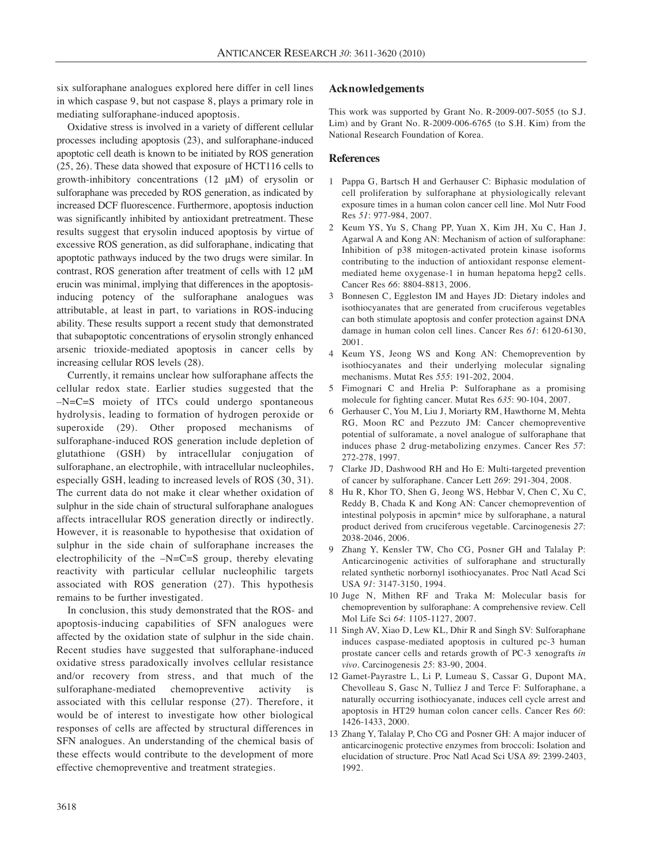six sulforaphane analogues explored here differ in cell lines in which caspase 9, but not caspase 8, plays a primary role in mediating sulforaphane-induced apoptosis.

Oxidative stress is involved in a variety of different cellular processes including apoptosis (23), and sulforaphane-induced apoptotic cell death is known to be initiated by ROS generation (25, 26). These data showed that exposure of HCT116 cells to growth-inhibitory concentrations (12 μM) of erysolin or sulforaphane was preceded by ROS generation, as indicated by increased DCF fluorescence. Furthermore, apoptosis induction was significantly inhibited by antioxidant pretreatment. These results suggest that erysolin induced apoptosis by virtue of excessive ROS generation, as did sulforaphane, indicating that apoptotic pathways induced by the two drugs were similar. In contrast, ROS generation after treatment of cells with 12 μM erucin was minimal, implying that differences in the apoptosisinducing potency of the sulforaphane analogues was attributable, at least in part, to variations in ROS-inducing ability. These results support a recent study that demonstrated that subapoptotic concentrations of erysolin strongly enhanced arsenic trioxide-mediated apoptosis in cancer cells by increasing cellular ROS levels (28).

Currently, it remains unclear how sulforaphane affects the cellular redox state. Earlier studies suggested that the –N=C=S moiety of ITCs could undergo spontaneous hydrolysis, leading to formation of hydrogen peroxide or superoxide (29). Other proposed mechanisms of sulforaphane-induced ROS generation include depletion of glutathione (GSH) by intracellular conjugation of sulforaphane, an electrophile, with intracellular nucleophiles, especially GSH, leading to increased levels of ROS (30, 31). The current data do not make it clear whether oxidation of sulphur in the side chain of structural sulforaphane analogues affects intracellular ROS generation directly or indirectly. However, it is reasonable to hypothesise that oxidation of sulphur in the side chain of sulforaphane increases the electrophilicity of the  $-N=C=S$  group, thereby elevating reactivity with particular cellular nucleophilic targets associated with ROS generation (27). This hypothesis remains to be further investigated.

In conclusion, this study demonstrated that the ROS- and apoptosis-inducing capabilities of SFN analogues were affected by the oxidation state of sulphur in the side chain. Recent studies have suggested that sulforaphane-induced oxidative stress paradoxically involves cellular resistance and/or recovery from stress, and that much of the sulforaphane-mediated chemopreventive activity is associated with this cellular response (27). Therefore, it would be of interest to investigate how other biological responses of cells are affected by structural differences in SFN analogues. An understanding of the chemical basis of these effects would contribute to the development of more effective chemopreventive and treatment strategies.

## **Acknowledgements**

This work was supported by Grant No. R-2009-007-5055 (to S.J. Lim) and by Grant No. R-2009-006-6765 (to S.H. Kim) from the National Research Foundation of Korea.

### **References**

- 1 Pappa G, Bartsch H and Gerhauser C: Biphasic modulation of cell proliferation by sulforaphane at physiologically relevant exposure times in a human colon cancer cell line. Mol Nutr Food Res *51*: 977-984, 2007.
- 2 Keum YS, Yu S, Chang PP, Yuan X, Kim JH, Xu C, Han J, Agarwal A and Kong AN: Mechanism of action of sulforaphane: Inhibition of p38 mitogen-activated protein kinase isoforms contributing to the induction of antioxidant response elementmediated heme oxygenase-1 in human hepatoma hepg2 cells. Cancer Res *66*: 8804-8813, 2006.
- 3 Bonnesen C, Eggleston IM and Hayes JD: Dietary indoles and isothiocyanates that are generated from cruciferous vegetables can both stimulate apoptosis and confer protection against DNA damage in human colon cell lines. Cancer Res *61*: 6120-6130, 2001.
- 4 Keum YS, Jeong WS and Kong AN: Chemoprevention by isothiocyanates and their underlying molecular signaling mechanisms. Mutat Res *555*: 191-202, 2004.
- 5 Fimognari C and Hrelia P: Sulforaphane as a promising molecule for fighting cancer. Mutat Res *635*: 90-104, 2007.
- 6 Gerhauser C, You M, Liu J, Moriarty RM, Hawthorne M, Mehta RG, Moon RC and Pezzuto JM: Cancer chemopreventive potential of sulforamate, a novel analogue of sulforaphane that induces phase 2 drug-metabolizing enzymes. Cancer Res *57*: 272-278, 1997.
- 7 Clarke JD, Dashwood RH and Ho E: Multi-targeted prevention of cancer by sulforaphane. Cancer Lett *269*: 291-304, 2008.
- 8 Hu R, Khor TO, Shen G, Jeong WS, Hebbar V, Chen C, Xu C, Reddy B, Chada K and Kong AN: Cancer chemoprevention of intestinal polyposis in apcmin+ mice by sulforaphane, a natural product derived from cruciferous vegetable. Carcinogenesis *27*: 2038-2046, 2006.
- 9 Zhang Y, Kensler TW, Cho CG, Posner GH and Talalay P: Anticarcinogenic activities of sulforaphane and structurally related synthetic norbornyl isothiocyanates. Proc Natl Acad Sci USA *91*: 3147-3150, 1994.
- 10 Juge N, Mithen RF and Traka M: Molecular basis for chemoprevention by sulforaphane: A comprehensive review. Cell Mol Life Sci *64*: 1105-1127, 2007.
- 11 Singh AV, Xiao D, Lew KL, Dhir R and Singh SV: Sulforaphane induces caspase-mediated apoptosis in cultured pc-3 human prostate cancer cells and retards growth of PC-3 xenografts *in vivo*. Carcinogenesis *25*: 83-90, 2004.
- 12 Gamet-Payrastre L, Li P, Lumeau S, Cassar G, Dupont MA, Chevolleau S, Gasc N, Tulliez J and Terce F: Sulforaphane, a naturally occurring isothiocyanate, induces cell cycle arrest and apoptosis in HT29 human colon cancer cells. Cancer Res *60*: 1426-1433, 2000.
- 13 Zhang Y, Talalay P, Cho CG and Posner GH: A major inducer of anticarcinogenic protective enzymes from broccoli: Isolation and elucidation of structure. Proc Natl Acad Sci USA *89*: 2399-2403, 1992.